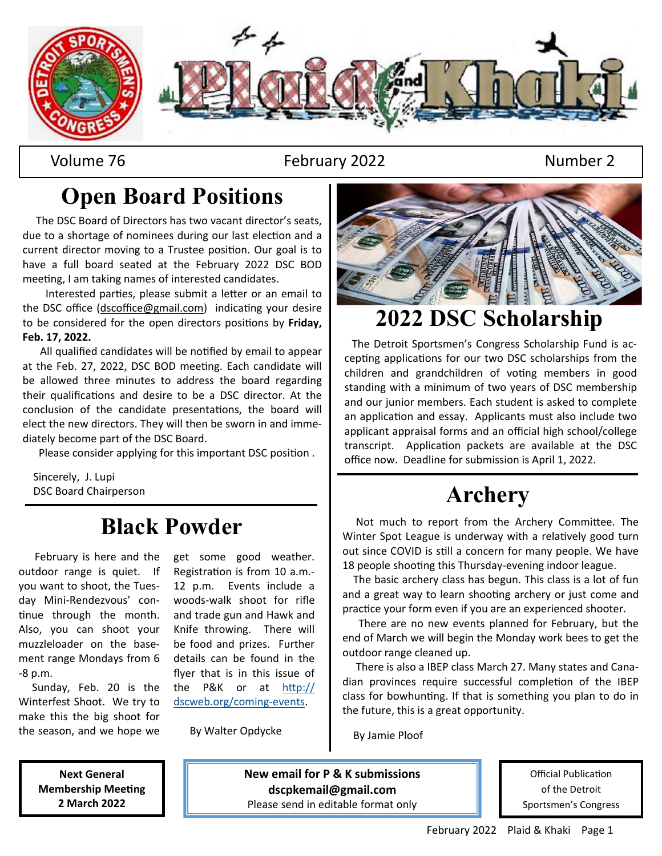

Volume 76 February 2022 Number 2

# **Open Board Positions**

 The DSC Board of Directors has two vacant director's seats, due to a shortage of nominees during our last election and a current director moving to a Trustee position. Our goal is to have a full board seated at the February 2022 DSC BOD meeting, I am taking names of interested candidates.

Interested parties, please submit a letter or an email to the DSC office (dscoffice@gmail.com) indicating your desire to be considered for the open directors positions by Friday, **Feb. 17, 2022.**

All qualified candidates will be notified by email to appear at the Feb. 27, 2022, DSC BOD meeting. Each candidate will be allowed three minutes to address the board regarding their qualifications and desire to be a DSC director. At the conclusion of the candidate presentations, the board will elect the new directors. They will then be sworn in and immediately become part of the DSC Board.

Please consider applying for this important DSC position.

 Sincerely, J. Lupi DSC Board Chairperson

# **Black Powder**

 February is here and the outdoor range is quiet. If you want to shoot, the Tuesday Mini-Rendezvous' continue through the month. Also, you can shoot your muzzleloader on the basement range Mondays from 6 -8 p.m.

 Sunday, Feb. 20 is the Winterfest Shoot. We try to make this the big shoot for the season, and we hope we get some good weather. Registration is from 10 a.m.-12 p.m. Events include a woods-walk shoot for rifle and trade gun and Hawk and Knife throwing. There will be food and prizes. Further details can be found in the flyer that is in this issue of the P&K or at  $http://$ dscweb.org/coming-events.

By Walter Opdycke



# **2022 DSC Scholarship**

 The Detroit Sportsmen's Congress Scholarship Fund is accepting applications for our two DSC scholarships from the children and grandchildren of voting members in good standing with a minimum of two years of DSC membership and our junior members. Each student is asked to complete an application and essay. Applicants must also include two applicant appraisal forms and an official high school/college transcript. Application packets are available at the DSC office now. Deadline for submission is April 1, 2022.

# **Archery**

Not much to report from the Archery Committee. The Winter Spot League is underway with a relatively good turn out since COVID is still a concern for many people. We have 18 people shooting this Thursday-evening indoor league.

 The basic archery class has begun. This class is a lot of fun and a great way to learn shooting archery or just come and practice your form even if you are an experienced shooter.

 There are no new events planned for February, but the end of March we will begin the Monday work bees to get the outdoor range cleaned up.

 There is also a IBEP class March 27. Many states and Canadian provinces require successful completion of the IBEP class for bowhunting. If that is something you plan to do in the future, this is a great opportunity.

By Jamie Ploof

**Next General Membership Meeting 2 March 2022** 

**New email for P & K submissions dscpkemail@gmail.com**  Please send in editable format only

Official Publication of the Detroit Sportsmen's Congress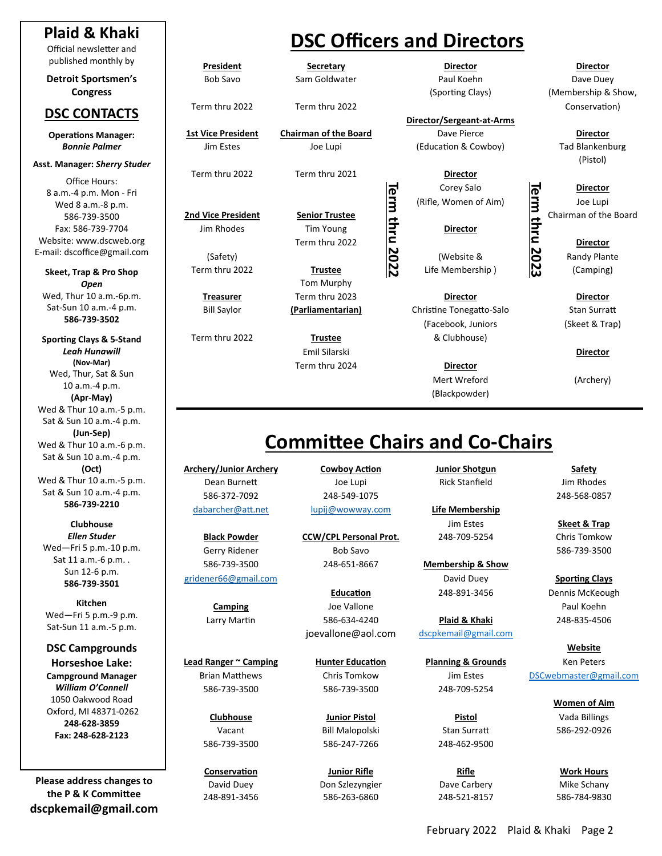#### **Plaid & Khaki**

Official newsletter and published monthly by

**Detroit Sportsmen's Congress** 

#### **DSC CONTACTS**

**OperaƟons Manager:**  *Bonnie Palmer* 

#### **Asst. Manager:** *Sherry Studer*

Office Hours: 8 a.m.-4 p.m. Mon - Fri Wed 8 a.m.-8 p.m. 586-739-3500 Fax: 586-739-7704 Website: www.dscweb.org E-mail: dscoffice@gmail.com

**Skeet, Trap & Pro Shop**  *Open*  Wed, Thur 10 a.m.-6p.m. Sat-Sun 10 a.m.-4 p.m. **586‐739‐3502** 

**SporƟng Clays & 5‐Stand**  *Leah Hunawill*  **(Nov‐Mar)** Wed, Thur, Sat & Sun 10 a.m.-4 p.m. **(Apr‐May)** Wed & Thur 10 a.m.-5 p.m. Sat & Sun 10 a.m.-4 p.m. **(Jun‐Sep)** Wed & Thur 10 a.m.-6 p.m. Sat & Sun 10 a.m.-4 p.m. **(Oct)** Wed & Thur 10 a.m.-5 p.m. Sat & Sun 10 a.m.-4 p.m. **586‐739‐2210** 

**Clubhouse**  *Ellen Studer*  Wed—Fri 5 p.m.-10 p.m. Sat 11 a.m.-6 p.m. . Sun 12-6 p.m. **586‐739‐3501** 

**Kitchen**  Wed—Fri 5 p.m.-9 p.m. Sat-Sun 11 a.m.-5 p.m.

**DSC Campgrounds Horseshoe Lake: Campground Manager**  *William O'Connell*  1050 Oakwood Road Oxford, MI 48371-0262 **248‐628‐3859 Fax: 248‐628‐2123** 

**Please address changes to the P & K CommiƩee dscpkemail@gmail.com**

## **DSC Officers and Directors**

**Term thru 2022** 

**President Secretary** 

**1st Vice President Chairman of the Board** Dave Pierce **Director**  Jim Estes Joe Lupi (EducaƟon & Cowboy) Tad Blankenburg

Term thru 2022 Term thru 2021 **Director** 

Jim Rhodes **Tim Young Director** Term thru 2022 **Director** 

Term thru 2022 **Trustee** Life Membership ) (Camping) Tom Murphy

 Emil Silarski **Director**  Term thru 2024 **Director** 

**Director** 

**Director/Sergeant‐at‐Arms** 

**Director Director Director** 

(Safety) **Cancel Accord Contract Contract Contract Contract Contract Contract Contract Contract Contract Contract Contract Contract Contract Contract Contract Contract Contract Contract Contract Contract Contract Contract** 

**Treasurer** Term thru 2023 **Director Director**  Bill Saylor **(Parliamentarian)** Christine Tonegatto-Salo Stan Surratt (Facebook, Juniors (Skeet & Trap) Term thru 2022 **Trustee** & Clubhouse)

> Mert Wreford (Archery) (Blackpowder)

**Director**  Bob Savo Sam Goldwater **Baul Communist Paul Koehn** Dave Duey (Sporting Clays) (Membership & Show, Term thru 2022 Term thru 2022 Term 1 2022 Term thru 2022 Conservation

(Pistol)

**2nd Vice President Senior Trustee** Chairman of the Board

## **CommiƩee Chairs and Co‐Chairs**

**Archery/Junior Archery Cowboy Action Junior Shotgun Safety** Dean Burnett **Dean Burnett** Joe Lupi **Rick Stanfield** Jim Rhodes 586-372-7092 248-549-1075 248-568-0857 dabarcher@aƩ.net lupij@wowway.com **Life Membership** 

**Lead Ranger ~ Camping hunter Education between Planning & Grounds 6 Ken Peters** Brian Matthews Chris Tomkow Jim Estes DSCwebmaster@gmail.com 586-739-3500 586-739-3500 248-709-5254

586-739-3500 586-247-7266 248-462-9500

**Black Powder CCW/CPL Personal Prot.** 248-709-5254 Chris Tomkow Gerry Ridener **Bob Savo** 687 and 586-739-3500 586-739-3500 248-651-8667 **Membership & Show** 

**Camping Campion Campion Communist Campion Campion Campion Campion Campion Campion Campion Campion Campion Campion C** Larry MarƟn 586-634-4240 **Plaid & Khaki** 248-835-4506 joevallone@aol.com dscpkemail@gmail.com

Vacant Bill Malopolski Stan SurraƩ 586-292-0926

**Conservation Conservation Dunior Rifle Rifle Rifle Rifle Rifle Work Hours** David Duey Don Szlezyngier Dave Carbery Mike Schany 248-891-3456 586-263-6860 248-521-8157 586-784-9830

gridener66@gmail.com **Sporting Clays Clays Clays Clays Clays Clays Clays Clays Clays Clays Clays** Education **248-891-3456** Dennis McKeough

Jim Estes **Skeet & Trap** 

**Website** 

 **Women of Aim Clubhouse Junior Pistol Pistol** Vada Billings

**Term thru 2023**  The Corey Salo<br>
(Rifle, Women of Aim)<br>
Director<br>
Director<br>
Director<br>
(Website &<br>
Life Membership)<br>
Life (Camping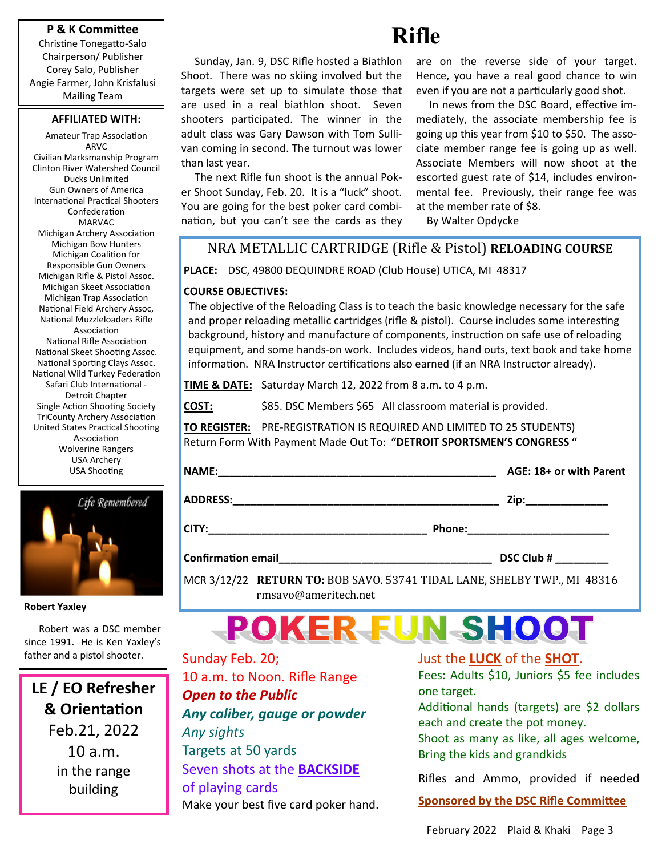#### **P & K CommiƩee**

Christine Tonegatto-Salo Chairperson/ Publisher Corey Salo, Publisher Angie Farmer, John Krisfalusi Mailing Team

#### **AFFILIATED WITH:**

Amateur Trap Association ARVC Civilian Marksmanship Program Clinton River Watershed Council Ducks Unlimited Gun Owners of America International Practical Shooters **Confederation** MARVAC Michigan Archery Association Michigan Bow Hunters Michigan Coalition for Responsible Gun Owners Michigan Rifle & Pistol Assoc. Michigan Skeet Association Michigan Trap Association National Field Archery Assoc, National Muzzleloaders Rifle Association National Rifle Association National Skeet Shooting Assoc. National Sporting Clays Assoc. National Wild Turkey Federation Safari Club International -Detroit Chapter Single Action Shooting Society TriCounty Archery Association United States Practical Shooting Association Wolverine Rangers USA Archery USA Shooting



**Robert Yaxley** 

 Robert was a DSC member since 1991. He is Ken Yaxley's father and a pistol shooter.

**LE / EO Refresher & OrientaƟon**  Feb.21, 2022 10 a.m. in the range building

 Sunday, Jan. 9, DSC Rifle hosted a Biathlon Shoot. There was no skiing involved but the targets were set up to simulate those that are used in a real biathlon shoot. Seven shooters participated. The winner in the adult class was Gary Dawson with Tom Sullivan coming in second. The turnout was lower than last year.

 The next Rifle fun shoot is the annual Poker Shoot Sunday, Feb. 20. It is a "luck" shoot. You are going for the best poker card combination, but you can't see the cards as they

**Rifle** 

are on the reverse side of your target. Hence, you have a real good chance to win even if you are not a particularly good shot.

In news from the DSC Board, effective immediately, the associate membership fee is going up this year from \$10 to \$50. The associate member range fee is going up as well. Associate Members will now shoot at the escorted guest rate of \$14, includes environmental fee. Previously, their range fee was at the member rate of \$8.

By Walter Opdycke

#### NRA METALLIC CARTRIDGE (Riϐle & Pistol) **RELOADING COURSE**

**PLACE:** DSC, 49800 DEQUINDRE ROAD (Club House) UTICA, MI 48317

#### **COURSE OBJECTIVES:**

The objective of the Reloading Class is to teach the basic knowledge necessary for the safe and proper reloading metallic cartridges (rifle & pistol). Course includes some interesting background, history and manufacture of components, instruction on safe use of reloading equipment, and some hands-on work. Includes videos, hand outs, text book and take home information. NRA Instructor certifications also earned (if an NRA Instructor already).

**TIME & DATE:** Saturday March 12, 2022 from 8 a.m. to 4 p.m.

**COST:** \$85. DSC Members \$65 All classroom material is provided.

**TO REGISTER:** PRE-REGISTRATION IS REQUIRED AND LIMITED TO 25 STUDENTS) Return Form With Payment Made Out To: **"DETROIT SPORTSMEN'S CONGRESS "** 

| <b>NAME</b> |
|-------------|
|             |

**ADDRESS:\_\_\_\_\_\_\_\_\_\_\_\_\_\_\_\_\_\_\_\_\_\_\_\_\_\_\_\_\_\_\_\_\_\_\_\_\_\_\_\_\_\_\_\_\_ Zip:\_\_\_\_\_\_\_\_\_\_\_\_\_\_** 

**CITY:\_\_\_\_\_\_\_\_\_\_\_\_\_\_\_\_\_\_\_\_\_\_\_\_\_\_\_\_\_\_\_\_\_\_\_\_\_ Phone:\_\_\_\_\_\_\_\_\_\_\_\_\_\_\_\_\_\_\_\_\_\_\_\_** 

**ConfirmaƟon email\_\_\_\_\_\_\_\_\_\_\_\_\_\_\_\_\_\_\_\_\_\_\_\_\_\_\_\_\_\_\_\_\_\_\_\_ DSC Club # \_\_\_\_\_\_\_\_\_** 

 $AGE: 18+$  or with Parent

MCR 3/12/22 **RETURN TO:** BOB SAVO. 53741 TIDAL LANE, SHELBY TWP., MI 48316 rmsavo@ameritech.net

# **POKER FUN SHOOT**

Sunday Feb. 20; 10 a.m. to Noon. Rifle Range *Open to the Public Any caliber, gauge or powder Any sights*  Targets at 50 yards Seven shots at the **BACKSIDE** of playing cards Make your best five card poker hand. Just the **LUCK** of the **SHOT**.

Fees: Adults \$10, Juniors \$5 fee includes one target.

Additional hands (targets) are \$2 dollars each and create the pot money.

Shoot as many as like, all ages welcome, Bring the kids and grandkids

Rifles and Ammo, provided if needed

**Sponsored by the DSC Rifle Committee**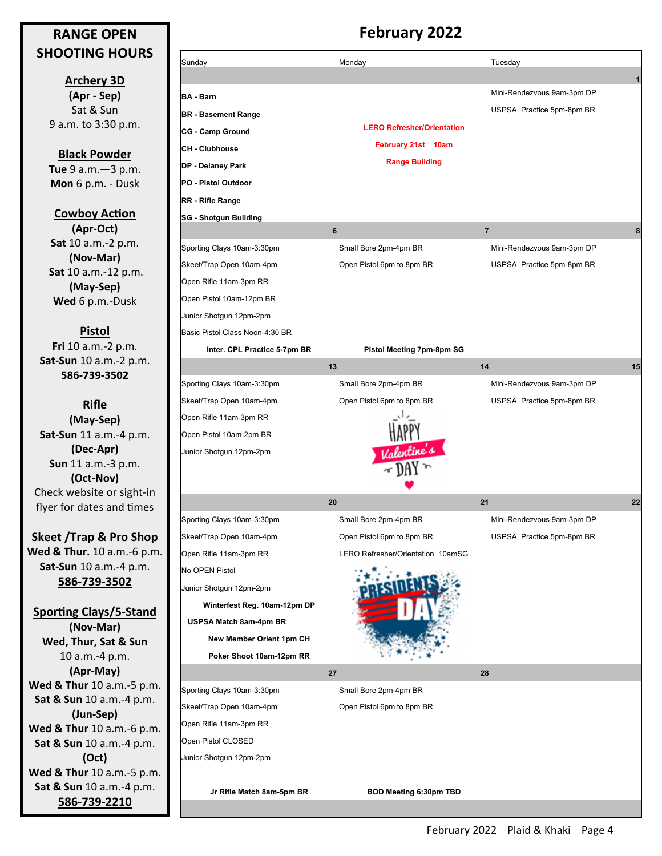#### **RANGE OPEN SHOOTING HOURS**

**Archery 3D (Apr ‐ Sep)** Sat & Sun 9 a.m. to 3:30 p.m.

**Black Powder Tue** 9 a.m.—3 p.m. **Mon** 6 p.m. - Dusk

**Cowboy Action (Apr‐Oct) Sat** 10 a.m.-2 p.m. **(Nov‐Mar) Sat** 10 a.m.-12 p.m. **(May‐Sep) Wed** 6 p.m.-Dusk

**Pistol Fri** 10 a.m.-2 p.m. **Sat‐Sun** 10 a.m.-2 p.m. **586‐739‐3502** 

**Rifle (May‐Sep) Sat‐Sun** 11 a.m.-4 p.m. **(Dec‐Apr) Sun** 11 a.m.-3 p.m. **(Oct‐Nov)**  Check website or sight-in flyer for dates and times

**Skeet /Trap & Pro Shop Wed & Thur.** 10 a.m.-6 p.m. **Sat‐Sun** 10 a.m.-4 p.m. **586‐739‐3502**

**SporƟng Clays/5‐Stand (Nov‐Mar) Wed, Thur, Sat & Sun**  10 a.m.-4 p.m. **(Apr‐May) Wed & Thur** 10 a.m.-5 p.m. **Sat & Sun** 10 a.m.-4 p.m. **(Jun‐Sep) Wed & Thur** 10 a.m.-6 p.m. **Sat & Sun** 10 a.m.-4 p.m. **(Oct) Wed & Thur** 10 a.m.-5 p.m. **Sat & Sun** 10 a.m.-4 p.m. **586‐739‐2210**

## **February 2022**

| Sunday                          | Monday                            | Tuesday                    |
|---------------------------------|-----------------------------------|----------------------------|
|                                 |                                   |                            |
| <b>BA - Barn</b>                |                                   | Mini-Rendezvous 9am-3pm DP |
| <b>BR</b> - Basement Range      |                                   | USPSA Practice 5pm-8pm BR  |
| <b>CG - Camp Ground</b>         | <b>LERO Refresher/Orientation</b> |                            |
| <b>CH - Clubhouse</b>           | February 21st 10am                |                            |
| DP - Delaney Park               | <b>Range Building</b>             |                            |
| PO - Pistol Outdoor             |                                   |                            |
| RR - Rifle Range                |                                   |                            |
| <b>SG - Shotgun Building</b>    |                                   |                            |
| 6                               | $\overline{7}$                    | 8                          |
| Sporting Clays 10am-3:30pm      | Small Bore 2pm-4pm BR             | Mini-Rendezvous 9am-3pm DP |
| Skeet/Trap Open 10am-4pm        | Open Pistol 6pm to 8pm BR         | USPSA Practice 5pm-8pm BR  |
| Open Rifle 11am-3pm RR          |                                   |                            |
| Open Pistol 10am-12pm BR        |                                   |                            |
| Junior Shotgun 12pm-2pm         |                                   |                            |
| Basic Pistol Class Noon-4:30 BR |                                   |                            |
| Inter. CPL Practice 5-7pm BR    | Pistol Meeting 7pm-8pm SG         |                            |
| 13                              | 14                                | 15                         |
| Sporting Clays 10am-3:30pm      | Small Bore 2pm-4pm BR             | Mini-Rendezvous 9am-3pm DP |
| Skeet/Trap Open 10am-4pm        | Open Pistol 6pm to 8pm BR         | USPSA Practice 5pm-8pm BR  |
| Open Rifle 11am-3pm RR          |                                   |                            |
| Open Pistol 10am-2pm BR         |                                   |                            |
| Junior Shotgun 12pm-2pm         | Valentine's                       |                            |
|                                 |                                   |                            |
| 20                              | 21                                | 22                         |
| Sporting Clays 10am-3:30pm      | Small Bore 2pm-4pm BR             | Mini-Rendezvous 9am-3pm DP |
| Skeet/Trap Open 10am-4pm        | Open Pistol 6pm to 8pm BR         | USPSA Practice 5pm-8pm BR  |
| Open Rifle 11am-3pm RR          | LERO Refresher/Orientation 10amSG |                            |
| No OPEN Pistol                  |                                   |                            |
| Junior Shotgun 12pm-2pm         |                                   |                            |
| Winterfest Reg. 10am-12pm DP    |                                   |                            |
| USPSA Match 8am-4pm BR          |                                   |                            |
| New Member Orient 1pm CH        |                                   |                            |
| Poker Shoot 10am-12pm RR        |                                   |                            |
| 27                              | 28                                |                            |
| Sporting Clays 10am-3:30pm      | Small Bore 2pm-4pm BR             |                            |
| Skeet/Trap Open 10am-4pm        | Open Pistol 6pm to 8pm BR         |                            |
| Open Rifle 11am-3pm RR          |                                   |                            |
| Open Pistol CLOSED              |                                   |                            |
| Junior Shotgun 12pm-2pm         |                                   |                            |
| Jr Rifle Match 8am-5pm BR       | <b>BOD Meeting 6:30pm TBD</b>     |                            |
|                                 |                                   |                            |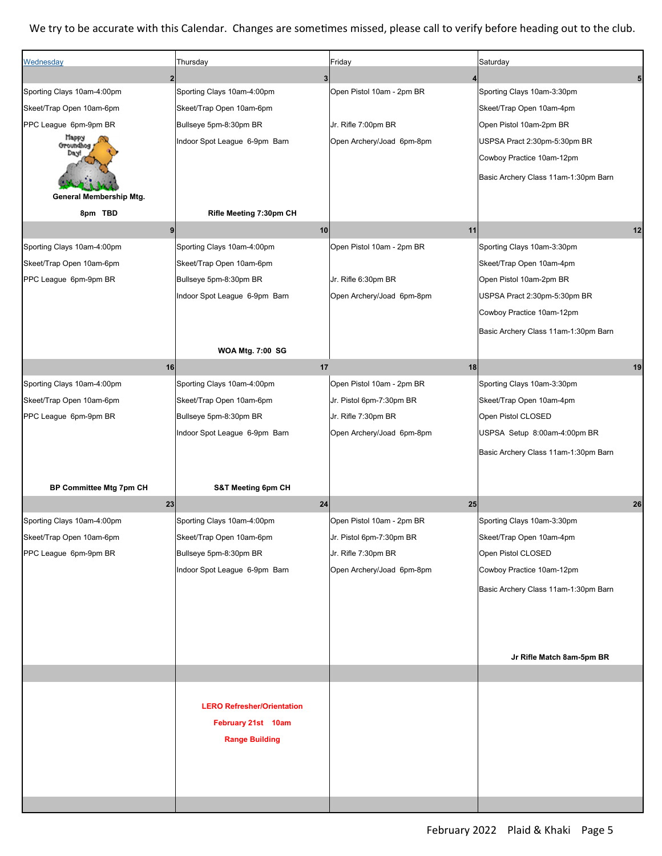#### We try to be accurate with this Calendar. Changes are sometimes missed, please call to verify before heading out to the club.

| Wednesday                  | Thursday                          | Friday                    | Saturday                             |
|----------------------------|-----------------------------------|---------------------------|--------------------------------------|
|                            | $\mathbf{3}$<br>$\overline{2}$    | 4                         |                                      |
| Sporting Clays 10am-4:00pm | Sporting Clays 10am-4:00pm        | Open Pistol 10am - 2pm BR | Sporting Clays 10am-3:30pm           |
| Skeet/Trap Open 10am-6pm   | Skeet/Trap Open 10am-6pm          |                           | Skeet/Trap Open 10am-4pm             |
| PPC League 6pm-9pm BR      | Bullseye 5pm-8:30pm BR            | Jr. Rifle 7:00pm BR       | Open Pistol 10am-2pm BR              |
| Парру<br>Groundhog<br>Day! | Indoor Spot League 6-9pm Barn     | Open Archery/Joad 6pm-8pm | USPSA Pract 2:30pm-5:30pm BR         |
|                            |                                   |                           | Cowboy Practice 10am-12pm            |
|                            |                                   |                           | Basic Archery Class 11am-1:30pm Barn |
| General Membership Mtg.    |                                   |                           |                                      |
| 8pm TBD                    | Rifle Meeting 7:30pm CH           |                           |                                      |
|                            | 10<br>9 <sub>l</sub>              | 11                        | 12                                   |
| Sporting Clays 10am-4:00pm | Sporting Clays 10am-4:00pm        | Open Pistol 10am - 2pm BR | Sporting Clays 10am-3:30pm           |
| Skeet/Trap Open 10am-6pm   | Skeet/Trap Open 10am-6pm          |                           | Skeet/Trap Open 10am-4pm             |
| PPC League 6pm-9pm BR      | Bullseye 5pm-8:30pm BR            | Jr. Rifle 6:30pm BR       | Open Pistol 10am-2pm BR              |
|                            | Indoor Spot League 6-9pm Barn     | Open Archery/Joad 6pm-8pm | USPSA Pract 2:30pm-5:30pm BR         |
|                            |                                   |                           | Cowboy Practice 10am-12pm            |
|                            |                                   |                           | Basic Archery Class 11am-1:30pm Barn |
|                            | <b>WOA Mtg. 7:00 SG</b>           |                           |                                      |
| 16                         | 17                                | 18                        | 19                                   |
| Sporting Clays 10am-4:00pm | Sporting Clays 10am-4:00pm        | Open Pistol 10am - 2pm BR | Sporting Clays 10am-3:30pm           |
| Skeet/Trap Open 10am-6pm   | Skeet/Trap Open 10am-6pm          | Jr. Pistol 6pm-7:30pm BR  | Skeet/Trap Open 10am-4pm             |
| PPC League 6pm-9pm BR      | Bullseye 5pm-8:30pm BR            | Jr. Rifle 7:30pm BR       | Open Pistol CLOSED                   |
|                            | Indoor Spot League 6-9pm Barn     | Open Archery/Joad 6pm-8pm | USPSA Setup 8:00am-4:00pm BR         |
|                            |                                   |                           |                                      |
|                            |                                   |                           | Basic Archery Class 11am-1:30pm Barn |
|                            |                                   |                           |                                      |
| BP Committee Mtg 7pm CH    | S&T Meeting 6pm CH                |                           |                                      |
| 23                         | 24                                | 25                        | 26                                   |
| Sporting Clays 10am-4:00pm | Sporting Clays 10am-4:00pm        | Open Pistol 10am - 2pm BR | Sporting Clays 10am-3:30pm           |
| Skeet/Trap Open 10am-6pm   | Skeet/Trap Open 10am-6pm          | Jr. Pistol 6pm-7:30pm BR  | Skeet/Trap Open 10am-4pm             |
| PPC League 6pm-9pm BR      | Bullseye 5pm-8:30pm BR            | Jr. Rifle 7:30pm BR       | Open Pistol CLOSED                   |
|                            | Indoor Spot League 6-9pm Barn     | Open Archery/Joad 6pm-8pm | Cowboy Practice 10am-12pm            |
|                            |                                   |                           | Basic Archery Class 11am-1:30pm Barn |
|                            |                                   |                           |                                      |
|                            |                                   |                           |                                      |
|                            |                                   |                           |                                      |
|                            |                                   |                           | Jr Rifle Match 8am-5pm BR            |
|                            |                                   |                           |                                      |
|                            |                                   |                           |                                      |
|                            | <b>LERO Refresher/Orientation</b> |                           |                                      |
|                            | February 21st 10am                |                           |                                      |
|                            | <b>Range Building</b>             |                           |                                      |
|                            |                                   |                           |                                      |
|                            |                                   |                           |                                      |
|                            |                                   |                           |                                      |
|                            |                                   |                           |                                      |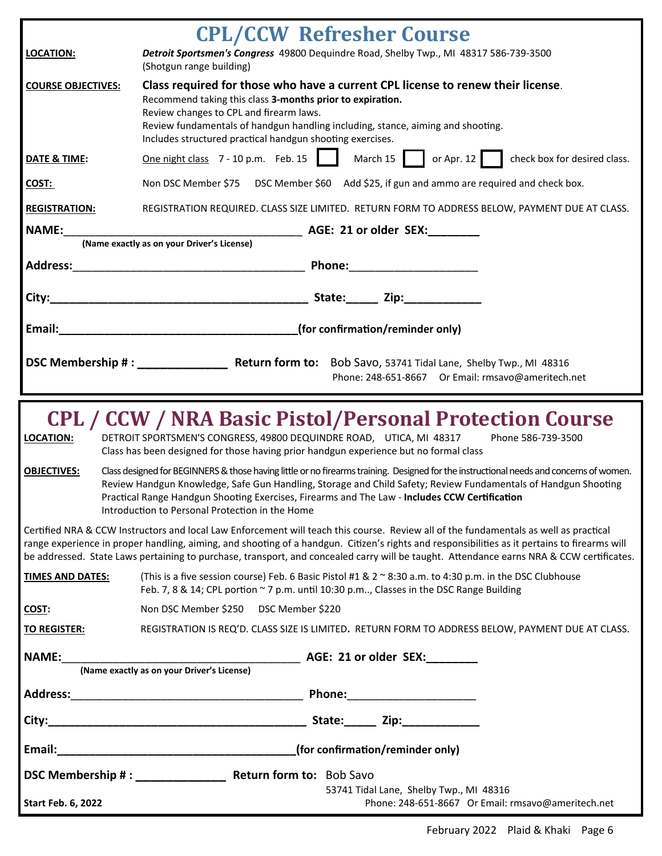|                           | <b>CPL/CCW Refresher Course</b>                                                                                                                                                                                                                                                                                                                                                                                                    |  |  |  |
|---------------------------|------------------------------------------------------------------------------------------------------------------------------------------------------------------------------------------------------------------------------------------------------------------------------------------------------------------------------------------------------------------------------------------------------------------------------------|--|--|--|
| <b>LOCATION:</b>          | Detroit Sportsmen's Congress 49800 Dequindre Road, Shelby Twp., MI 48317 586-739-3500<br>(Shotgun range building)                                                                                                                                                                                                                                                                                                                  |  |  |  |
| <b>COURSE OBJECTIVES:</b> | Class required for those who have a current CPL license to renew their license.<br>Recommend taking this class 3-months prior to expiration.<br>Review changes to CPL and firearm laws.                                                                                                                                                                                                                                            |  |  |  |
|                           | Review fundamentals of handgun handling including, stance, aiming and shooting.<br>Includes structured practical handgun shooting exercises.                                                                                                                                                                                                                                                                                       |  |  |  |
| DATE & TIME:              | One night class 7 - 10 p.m. Feb. 15<br>March 15   or Apr. 12   check box for desired class.                                                                                                                                                                                                                                                                                                                                        |  |  |  |
| COST:                     | Non DSC Member \$75 DSC Member \$60 Add \$25, if gun and ammo are required and check box.                                                                                                                                                                                                                                                                                                                                          |  |  |  |
| <b>REGISTRATION:</b>      | REGISTRATION REQUIRED. CLASS SIZE LIMITED. RETURN FORM TO ADDRESS BELOW, PAYMENT DUE AT CLASS.                                                                                                                                                                                                                                                                                                                                     |  |  |  |
| <b>NAME:</b>              | <b>MAGE: 21 or older SEX:</b> _________                                                                                                                                                                                                                                                                                                                                                                                            |  |  |  |
|                           | (Name exactly as on your Driver's License)                                                                                                                                                                                                                                                                                                                                                                                         |  |  |  |
| <b>Address:</b>           | <b>Example 2018</b> Phone: <b>Phone: Phone: Phone:</b>                                                                                                                                                                                                                                                                                                                                                                             |  |  |  |
| City:                     |                                                                                                                                                                                                                                                                                                                                                                                                                                    |  |  |  |
| Email:                    | (for confirmation/reminder only)                                                                                                                                                                                                                                                                                                                                                                                                   |  |  |  |
|                           |                                                                                                                                                                                                                                                                                                                                                                                                                                    |  |  |  |
|                           | DSC Membership #: Return form to: Bob Savo, 53741 Tidal Lane, Shelby Twp., MI 48316<br>Phone: 248-651-8667 Or Email: rmsavo@ameritech.net                                                                                                                                                                                                                                                                                          |  |  |  |
|                           |                                                                                                                                                                                                                                                                                                                                                                                                                                    |  |  |  |
| <b>LOCATION:</b>          | <b>CPL / CCW / NRA Basic Pistol/Personal Protection Course</b><br>DETROIT SPORTSMEN'S CONGRESS, 49800 DEQUINDRE ROAD, UTICA, MI 48317<br>Phone 586-739-3500<br>Class has been designed for those having prior handgun experience but no formal class                                                                                                                                                                               |  |  |  |
| <b>OBJECTIVES:</b>        | Class designed for BEGINNERS & those having little or no firearms training. Designed for the instructional needs and concerns of women.<br>Review Handgun Knowledge, Safe Gun Handling, Storage and Child Safety; Review Fundamentals of Handgun Shooting<br>Practical Range Handgun Shooting Exercises, Firearms and The Law - Includes CCW Certification<br>Introduction to Personal Protection in the Home                      |  |  |  |
|                           | Certified NRA & CCW Instructors and local Law Enforcement will teach this course. Review all of the fundamentals as well as practical<br>range experience in proper handling, aiming, and shooting of a handgun. Citizen's rights and responsibilities as it pertains to firearms will<br>be addressed. State Laws pertaining to purchase, transport, and concealed carry will be taught. Attendance earns NRA & CCW certificates. |  |  |  |
| <b>TIMES AND DATES:</b>   | (This is a five session course) Feb. 6 Basic Pistol #1 & 2 ~ 8:30 a.m. to 4:30 p.m. in the DSC Clubhouse<br>Feb. 7, 8 & 14; CPL portion ~ 7 p.m. until 10:30 p.m, Classes in the DSC Range Building                                                                                                                                                                                                                                |  |  |  |
| COST:                     | Non DSC Member \$250 DSC Member \$220                                                                                                                                                                                                                                                                                                                                                                                              |  |  |  |
| <b>TO REGISTER:</b>       | REGISTRATION IS REQ'D. CLASS SIZE IS LIMITED. RETURN FORM TO ADDRESS BELOW, PAYMENT DUE AT CLASS.                                                                                                                                                                                                                                                                                                                                  |  |  |  |
|                           |                                                                                                                                                                                                                                                                                                                                                                                                                                    |  |  |  |
|                           |                                                                                                                                                                                                                                                                                                                                                                                                                                    |  |  |  |
|                           |                                                                                                                                                                                                                                                                                                                                                                                                                                    |  |  |  |
|                           |                                                                                                                                                                                                                                                                                                                                                                                                                                    |  |  |  |
|                           |                                                                                                                                                                                                                                                                                                                                                                                                                                    |  |  |  |
|                           |                                                                                                                                                                                                                                                                                                                                                                                                                                    |  |  |  |
| <b>Start Feb. 6, 2022</b> | 53741 Tidal Lane, Shelby Twp., MI 48316<br>Phone: 248-651-8667 Or Email: rmsavo@ameritech.net                                                                                                                                                                                                                                                                                                                                      |  |  |  |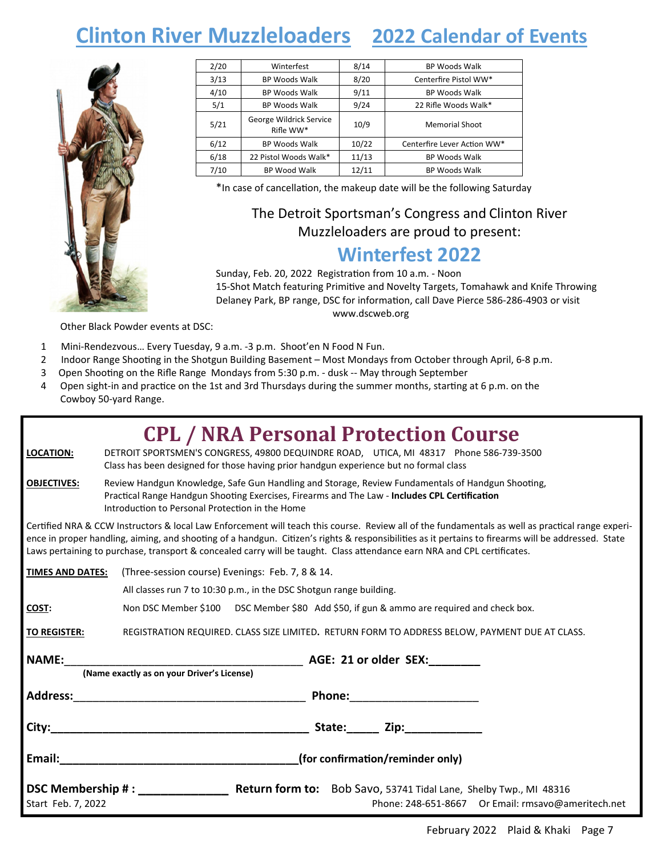# **Clinton River Muzzleloaders 2022 Calendar of Events**



| 2/20 | Winterfest                           | 8/14  | <b>BP Woods Walk</b>        |
|------|--------------------------------------|-------|-----------------------------|
| 3/13 | <b>BP Woods Walk</b>                 | 8/20  | Centerfire Pistol WW*       |
| 4/10 | <b>BP Woods Walk</b>                 | 9/11  | <b>BP Woods Walk</b>        |
| 5/1  | <b>BP Woods Walk</b>                 | 9/24  | 22 Rifle Woods Walk*        |
| 5/21 | George Wildrick Service<br>Rifle WW* | 10/9  | <b>Memorial Shoot</b>       |
| 6/12 | <b>BP Woods Walk</b>                 | 10/22 | Centerfire Lever Action WW* |
| 6/18 | 22 Pistol Woods Walk*                | 11/13 | <b>BP Woods Walk</b>        |
| 7/10 | <b>BP Wood Walk</b>                  | 12/11 | <b>BP Woods Walk</b>        |

\*In case of cancellation, the makeup date will be the following Saturday

## The Detroit Sportsman's Congress and Clinton River Muzzleloaders are proud to present:

## **Winterfest 2022**

Sunday, Feb. 20, 2022 Registration from 10 a.m. - Noon 15-Shot Match featuring Primitive and Novelty Targets, Tomahawk and Knife Throwing Delaney Park, BP range, DSC for information, call Dave Pierce 586-286-4903 or visit www.dscweb.org

Other Black Powder events at DSC:

- 1 Mini-Rendezvous… Every Tuesday, 9 a.m. -3 p.m. Shoot'en N Food N Fun.
- 2 Indoor Range Shooting in the Shotgun Building Basement Most Mondays from October through April, 6-8 p.m.
- 3 Open Shooting on the Rifle Range Mondays from 5:30 p.m. dusk -- May through September
- 4 Open sight-in and practice on the 1st and 3rd Thursdays during the summer months, starting at 6 p.m. on the Cowboy 50-yard Range.

|                         | <b>CPL / NRA Personal Protection Course</b>                                                                                                                                                                                                                                                                                                                                                                                          |  |  |
|-------------------------|--------------------------------------------------------------------------------------------------------------------------------------------------------------------------------------------------------------------------------------------------------------------------------------------------------------------------------------------------------------------------------------------------------------------------------------|--|--|
| <b>LOCATION:</b>        | DETROIT SPORTSMEN'S CONGRESS, 49800 DEQUINDRE ROAD, UTICA, MI 48317 Phone 586-739-3500<br>Class has been designed for those having prior handgun experience but no formal class                                                                                                                                                                                                                                                      |  |  |
| <b>OBJECTIVES:</b>      | Review Handgun Knowledge, Safe Gun Handling and Storage, Review Fundamentals of Handgun Shooting,<br>Practical Range Handgun Shooting Exercises, Firearms and The Law - Includes CPL Certification<br>Introduction to Personal Protection in the Home                                                                                                                                                                                |  |  |
|                         | Certified NRA & CCW Instructors & local Law Enforcement will teach this course. Review all of the fundamentals as well as practical range experi-<br>ence in proper handling, aiming, and shooting of a handgun. Citizen's rights & responsibilities as it pertains to firearms will be addressed. State<br>Laws pertaining to purchase, transport & concealed carry will be taught. Class attendance earn NRA and CPL certificates. |  |  |
| <b>TIMES AND DATES:</b> | (Three-session course) Evenings: Feb. 7, 8 & 14.                                                                                                                                                                                                                                                                                                                                                                                     |  |  |
|                         | All classes run 7 to 10:30 p.m., in the DSC Shotgun range building.                                                                                                                                                                                                                                                                                                                                                                  |  |  |
| COST:                   | Non DSC Member \$100 DSC Member \$80 Add \$50, if gun & ammo are required and check box.                                                                                                                                                                                                                                                                                                                                             |  |  |
| <b>TO REGISTER:</b>     | REGISTRATION REQUIRED. CLASS SIZE LIMITED. RETURN FORM TO ADDRESS BELOW, PAYMENT DUE AT CLASS.                                                                                                                                                                                                                                                                                                                                       |  |  |
| <b>NAME:</b>            |                                                                                                                                                                                                                                                                                                                                                                                                                                      |  |  |
|                         | (Name exactly as on your Driver's License)                                                                                                                                                                                                                                                                                                                                                                                           |  |  |
|                         | <b>Phone:</b> The contract of the contract of the contract of the contract of the contract of the contract of the contract of the contract of the contract of the contract of the contract of the contract of the contract of the c                                                                                                                                                                                                  |  |  |
|                         |                                                                                                                                                                                                                                                                                                                                                                                                                                      |  |  |
|                         | <b>Email:</b> Email: The Contract of the Contract of the Contract of the Contract of the Contract of the Contract of the Contract of the Contract of the Contract of the Contract of the Contract of the Contract of the Contract o<br>(for confirmation/reminder only)                                                                                                                                                              |  |  |
| Start Feb. 7, 2022      | <b>DSC Membership #:</b> Return form to: Bob Savo, 53741 Tidal Lane, Shelby Twp., MI 48316<br>Phone: 248-651-8667 Or Email: rmsavo@ameritech.net                                                                                                                                                                                                                                                                                     |  |  |